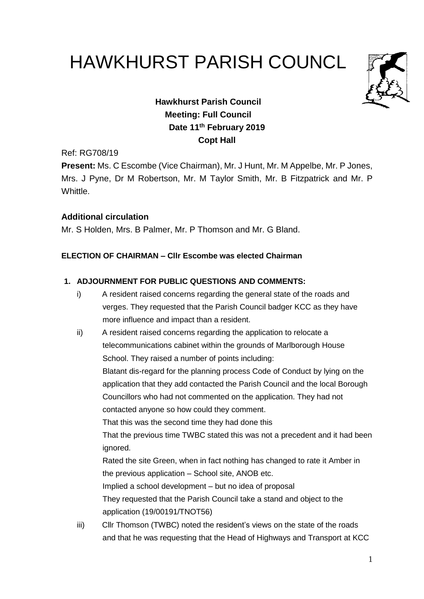# HAWKHURST PARISH COUNCL



# **Hawkhurst Parish Council Meeting: Full Council Date 11th February 2019 Copt Hall**

Ref: RG708/19

**Present:** Ms. C Escombe (Vice Chairman), Mr. J Hunt, Mr. M Appelbe, Mr. P Jones, Mrs. J Pyne, Dr M Robertson, Mr. M Taylor Smith, Mr. B Fitzpatrick and Mr. P Whittle.

# **Additional circulation**

Mr. S Holden, Mrs. B Palmer, Mr. P Thomson and Mr. G Bland.

# **ELECTION OF CHAIRMAN – Cllr Escombe was elected Chairman**

# **1. ADJOURNMENT FOR PUBLIC QUESTIONS AND COMMENTS:**

- i) A resident raised concerns regarding the general state of the roads and verges. They requested that the Parish Council badger KCC as they have more influence and impact than a resident.
- ii) A resident raised concerns regarding the application to relocate a telecommunications cabinet within the grounds of Marlborough House School. They raised a number of points including: Blatant dis-regard for the planning process Code of Conduct by lying on the application that they add contacted the Parish Council and the local Borough Councillors who had not commented on the application. They had not contacted anyone so how could they comment. That this was the second time they had done this That the previous time TWBC stated this was not a precedent and it had been ignored. Rated the site Green, when in fact nothing has changed to rate it Amber in the previous application – School site, ANOB etc. Implied a school development – but no idea of proposal They requested that the Parish Council take a stand and object to the application (19/00191/TNOT56) iii) Cllr Thomson (TWBC) noted the resident's views on the state of the roads
	- and that he was requesting that the Head of Highways and Transport at KCC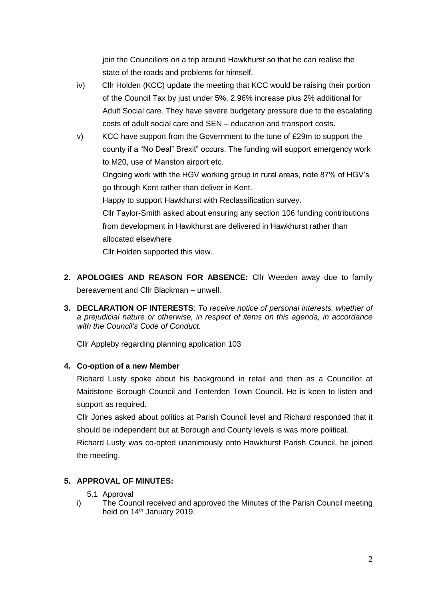join the Councillors on a trip around Hawkhurst so that he can realise the state of the roads and problems for himself.

- iv) Cllr Holden (KCC) update the meeting that KCC would be raising their portion of the Council Tax by just under 5%, 2.96% increase plus 2% additional for Adult Social care. They have severe budgetary pressure due to the escalating costs of adult social care and SEN – education and transport costs.
- v) KCC have support from the Government to the tune of £29m to support the county if a "No Deal" Brexit" occurs. The funding will support emergency work to M20, use of Manston airport etc.

Ongoing work with the HGV working group in rural areas, note 87% of HGV's go through Kent rather than deliver in Kent.

Happy to support Hawkhurst with Reclassification survey.

Cllr Taylor-Smith asked about ensuring any section 106 funding contributions from development in Hawkhurst are delivered in Hawkhurst rather than allocated elsewhere

Cllr Holden supported this view.

- **2. APOLOGIES AND REASON FOR ABSENCE:** Cllr Weeden away due to family bereavement and Cllr Blackman – unwell.
- **3. DECLARATION OF INTERESTS**: *To receive notice of personal interests, whether of a prejudicial nature or otherwise, in respect of items on this agenda, in accordance with the Council's Code of Conduct.*

Cllr Appleby regarding planning application 103

# **4. Co-option of a new Member**

Richard Lusty spoke about his background in retail and then as a Councillor at Maidstone Borough Council and Tenterden Town Council. He is keen to listen and support as required.

Cllr Jones asked about politics at Parish Council level and Richard responded that it should be independent but at Borough and County levels is was more political.

Richard Lusty was co-opted unanimously onto Hawkhurst Parish Council, he joined the meeting.

# **5. APPROVAL OF MINUTES:**

- 5.1 Approval
- i) The Council received and approved the Minutes of the Parish Council meeting held on 14<sup>th</sup> January 2019.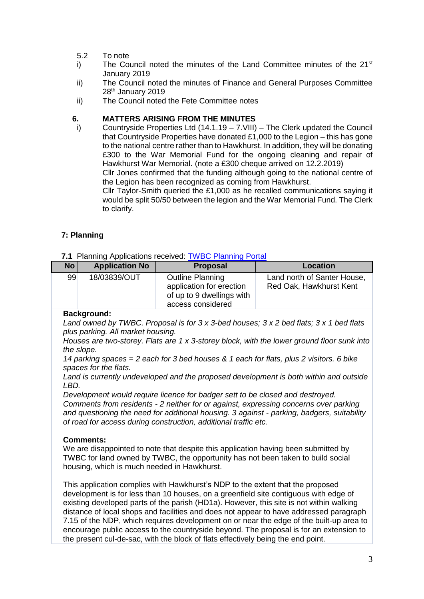- 5.2 To note
- i) The Council noted the minutes of the Land Committee minutes of the  $21<sup>st</sup>$ January 2019
- ii) The Council noted the minutes of Finance and General Purposes Committee 28th January 2019
- ii) The Council noted the Fete Committee notes

### **6. MATTERS ARISING FROM THE MINUTES**

i) Countryside Properties Ltd (14.1.19 – 7.VIII) – The Clerk updated the Council that Countryside Properties have donated £1,000 to the Legion – this has gone to the national centre rather than to Hawkhurst. In addition, they will be donating £300 to the War Memorial Fund for the ongoing cleaning and repair of Hawkhurst War Memorial. (note a £300 cheque arrived on 12.2.2019)

Cllr Jones confirmed that the funding although going to the national centre of the Legion has been recognized as coming from Hawkhurst.

Cllr Taylor-Smith queried the £1,000 as he recalled communications saying it would be split 50/50 between the legion and the War Memorial Fund. The Clerk to clarify.

## **7: Planning**

| 7.1 Planning Applications received: <b>TWBC Planning Portal</b> |  |
|-----------------------------------------------------------------|--|
|-----------------------------------------------------------------|--|

| <b>No</b> | <b>Application No</b> | <b>Proposal</b>                                                                                       | <b>Location</b>                                        |
|-----------|-----------------------|-------------------------------------------------------------------------------------------------------|--------------------------------------------------------|
| 99        | 18/03839/OUT          | <b>Outline Planning</b><br>application for erection<br>of up to 9 dwellings with<br>access considered | Land north of Santer House,<br>Red Oak, Hawkhurst Kent |

#### **Background:**

*Land owned by TWBC. Proposal is for 3 x 3-bed houses; 3 x 2 bed flats; 3 x 1 bed flats plus parking. All market housing.*

*Houses are two-storey. Flats are 1 x 3-storey block, with the lower ground floor sunk into the slope.*

*14 parking spaces = 2 each for 3 bed houses & 1 each for flats, plus 2 visitors. 6 bike spaces for the flats.*

*Land is currently undeveloped and the proposed development is both within and outside LBD.*

*Development would require licence for badger sett to be closed and destroyed. Comments from residents - 2 neither for or against, expressing concerns over parking and questioning the need for additional housing. 3 against - parking, badgers, suitability of road for access during construction, additional traffic etc.*

#### **Comments:**

We are disappointed to note that despite this application having been submitted by TWBC for land owned by TWBC, the opportunity has not been taken to build social housing, which is much needed in Hawkhurst.

This application complies with Hawkhurst's NDP to the extent that the proposed development is for less than 10 houses, on a greenfield site contiguous with edge of existing developed parts of the parish (HD1a). However, this site is not within walking distance of local shops and facilities and does not appear to have addressed paragraph 7.15 of the NDP, which requires development on or near the edge of the built-up area to encourage public access to the countryside beyond. The proposal is for an extension to the present cul-de-sac, with the block of flats effectively being the end point.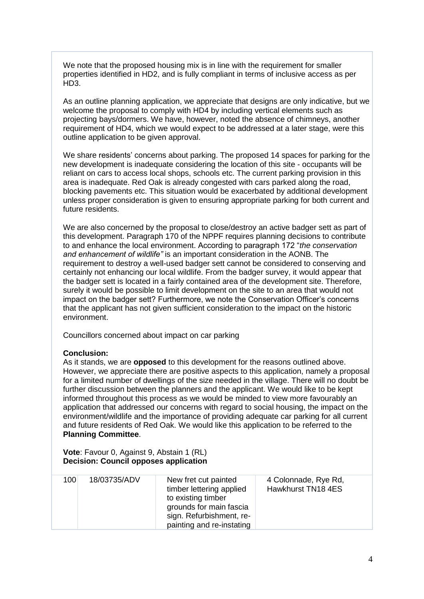We note that the proposed housing mix is in line with the requirement for smaller properties identified in HD2, and is fully compliant in terms of inclusive access as per HD3.

As an outline planning application, we appreciate that designs are only indicative, but we welcome the proposal to comply with HD4 by including vertical elements such as projecting bays/dormers. We have, however, noted the absence of chimneys, another requirement of HD4, which we would expect to be addressed at a later stage, were this outline application to be given approval.

We share residents' concerns about parking. The proposed 14 spaces for parking for the new development is inadequate considering the location of this site - occupants will be reliant on cars to access local shops, schools etc. The current parking provision in this area is inadequate. Red Oak is already congested with cars parked along the road, blocking pavements etc. This situation would be exacerbated by additional development unless proper consideration is given to ensuring appropriate parking for both current and future residents.

We are also concerned by the proposal to close/destroy an active badger sett as part of this development. Paragraph 170 of the NPPF requires planning decisions to contribute to and enhance the local environment. According to paragraph 172 "*the conservation and enhancement of wildlife"* is an important consideration in the AONB. The requirement to destroy a well-used badger sett cannot be considered to conserving and certainly not enhancing our local wildlife. From the badger survey, it would appear that the badger sett is located in a fairly contained area of the development site. Therefore, surely it would be possible to limit development on the site to an area that would not impact on the badger sett? Furthermore, we note the Conservation Officer's concerns that the applicant has not given sufficient consideration to the impact on the historic environment.

Councillors concerned about impact on car parking

#### **Conclusion:**

As it stands, we are **opposed** to this development for the reasons outlined above. However, we appreciate there are positive aspects to this application, namely a proposal for a limited number of dwellings of the size needed in the village. There will no doubt be further discussion between the planners and the applicant. We would like to be kept informed throughout this process as we would be minded to view more favourably an application that addressed our concerns with regard to social housing, the impact on the environment/wildlife and the importance of providing adequate car parking for all current and future residents of Red Oak. We would like this application to be referred to the **Planning Committee**.

**Vote**: Favour 0, Against 9, Abstain 1 (RL) **Decision: Council opposes application**

| 100 | 18/03735/ADV | New fret cut painted<br>timber lettering applied<br>to existing timber<br>grounds for main fascia<br>sign. Refurbishment, re-<br>painting and re-instating | 4 Colonnade, Rye Rd,<br>Hawkhurst TN18 4ES |
|-----|--------------|------------------------------------------------------------------------------------------------------------------------------------------------------------|--------------------------------------------|
|-----|--------------|------------------------------------------------------------------------------------------------------------------------------------------------------------|--------------------------------------------|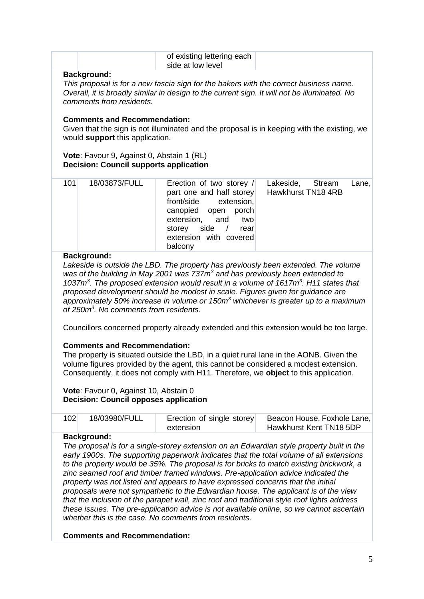| of existing lettering each<br>side at low level |  |
|-------------------------------------------------|--|
|                                                 |  |

#### **Background:**

*This proposal is for a new fascia sign for the bakers with the correct business name. Overall, it is broadly similar in design to the current sign. It will not be illuminated. No comments from residents.*

#### **Comments and Recommendation:**

Given that the sign is not illuminated and the proposal is in keeping with the existing, we would **support** this application.

**Vote**: Favour 9, Against 0, Abstain 1 (RL) **Decision: Council supports application**

| 101 | 18/03873/FULL | Erection of two storey /<br>part one and half storey Hawkhurst TN18 4RB<br>front/side extension,<br>canopied open porch<br>extension, and two<br>storey side / rear<br>extension with covered<br>balcony | Lakeside, Stream | Lane, |
|-----|---------------|----------------------------------------------------------------------------------------------------------------------------------------------------------------------------------------------------------|------------------|-------|
|-----|---------------|----------------------------------------------------------------------------------------------------------------------------------------------------------------------------------------------------------|------------------|-------|

#### **Background:**

Lakeside is outside the LBD. The property has previously been extended. The volume *was of the building in May 2001 was 737m<sup>3</sup> and has previously been extended to 1037m<sup>3</sup> . The proposed extension would result in a volume of 1617m<sup>3</sup> . H11 states that proposed development should be modest in scale. Figures given for guidance are approximately 50% increase in volume or 150m<sup>3</sup> whichever is greater up to a maximum of 250m<sup>3</sup> . No comments from residents.*

Councillors concerned property already extended and this extension would be too large.

#### **Comments and Recommendation:**

The property is situated outside the LBD, in a quiet rural lane in the AONB. Given the volume figures provided by the agent, this cannot be considered a modest extension. Consequently, it does not comply with H11. Therefore, we **object** to this application.

**Vote**: Favour 0, Against 10, Abstain 0 **Decision: Council opposes application**

| 102 <sub>1</sub> | 18/03980/FULL | Erection of single storey | Beacon House, Foxhole Lane, |
|------------------|---------------|---------------------------|-----------------------------|
|                  |               | extension                 | Hawkhurst Kent TN18 5DP     |

#### **Background:**

*The proposal is for a single-storey extension on an Edwardian style property built in the early 1900s. The supporting paperwork indicates that the total volume of all extensions to the property would be 35%. The proposal is for bricks to match existing brickwork, a zinc seamed roof and timber framed windows. Pre-application advice indicated the property was not listed and appears to have expressed concerns that the initial proposals were not sympathetic to the Edwardian house. The applicant is of the view that the inclusion of the parapet wall, zinc roof and traditional style roof lights address these issues. The pre-application advice is not available online, so we cannot ascertain whether this is the case. No comments from residents.*

**Comments and Recommendation:**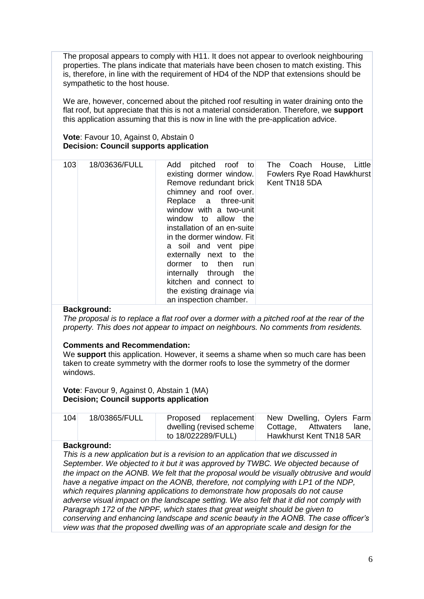The proposal appears to comply with H11. It does not appear to overlook neighbouring properties. The plans indicate that materials have been chosen to match existing. This is, therefore, in line with the requirement of HD4 of the NDP that extensions should be sympathetic to the host house.

We are, however, concerned about the pitched roof resulting in water draining onto the flat roof, but appreciate that this is not a material consideration. Therefore, we **support** this application assuming that this is now in line with the pre-application advice.

#### **Vote**: Favour 10, Against 0, Abstain 0 **Decision: Council supports application**

| 103 | 18/03636/FULL | Add pitched roof to<br>existing dormer window.<br>Remove redundant brick<br>chimney and roof over.<br>Replace a three-unit<br>window with a two-unit<br>window to allow the<br>installation of an en-suite<br>in the dormer window. Fit<br>a soil and vent pipe<br>externally next to the<br>dormer to then run<br>internally through the<br>kitchen and connect to<br>the existing drainage via<br>an inspection chamber. | The Coach House, Little<br>Fowlers Rye Road Hawkhurst<br>Kent TN18 5DA |
|-----|---------------|----------------------------------------------------------------------------------------------------------------------------------------------------------------------------------------------------------------------------------------------------------------------------------------------------------------------------------------------------------------------------------------------------------------------------|------------------------------------------------------------------------|
|-----|---------------|----------------------------------------------------------------------------------------------------------------------------------------------------------------------------------------------------------------------------------------------------------------------------------------------------------------------------------------------------------------------------------------------------------------------------|------------------------------------------------------------------------|

#### **Background:**

*The proposal is to replace a flat roof over a dormer with a pitched roof at the rear of the property. This does not appear to impact on neighbours. No comments from residents.*

#### **Comments and Recommendation:**

We **support** this application. However, it seems a shame when so much care has been taken to create symmetry with the dormer roofs to lose the symmetry of the dormer windows.

**Vote**: Favour 9, Against 0, Abstain 1 (MA) **Decision; Council supports application**

| 104 | 18/03865/FULL | Proposed replacement      | New Dwelling, Oylers Farm   |
|-----|---------------|---------------------------|-----------------------------|
|     |               | dwelling (revised scheme) | Attwaters lane,<br>Cottage. |
|     |               | to 18/022289/FULL)        | Hawkhurst Kent TN18 5AR     |

#### **Background:**

*This is a new application but is a revision to an application that we discussed in September. We objected to it but it was approved by TWBC. We objected because of the impact on the AONB. We felt that the proposal would be visually obtrusive* a*nd would have a negative impact on the AONB, therefore, not complying with LP1 of the NDP, which requires planning applications to demonstrate how proposals do not cause adverse visual impact on the landscape setting. We also felt that it did not comply with Paragraph 172 of the NPPF, which states that great weight should be given to conserving and enhancing landscape and scenic beauty in the AONB. The case officer's view was that the proposed dwelling was of an appropriate scale and design for the*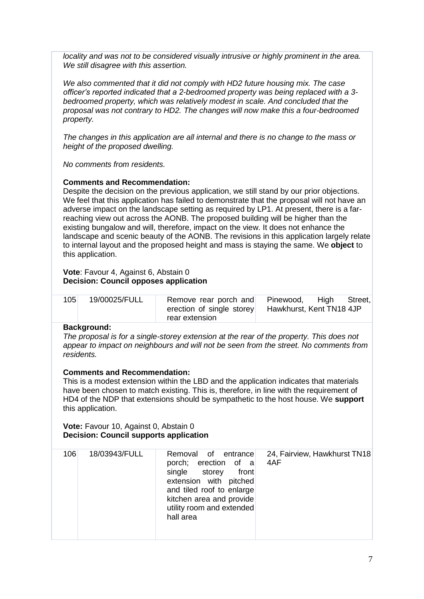*locality and was not to be considered visually intrusive or highly prominent in the area. We still disagree with this assertion.*

*We also commented that it did not comply with HD2 future housing mix. The case officer's reported indicated that a 2-bedroomed property was being replaced with a 3 bedroomed property, which was relatively modest in scale. And concluded that the proposal was not contrary to HD2. The changes will now make this a four-bedroomed property.*

*The changes in this application are all internal and there is no change to the mass or height of the proposed dwelling.*

*No comments from residents.*

#### **Comments and Recommendation:**

Despite the decision on the previous application, we still stand by our prior objections. We feel that this application has failed to demonstrate that the proposal will not have an adverse impact on the landscape setting as required by LP1. At present, there is a farreaching view out across the AONB. The proposed building will be higher than the existing bungalow and will, therefore, impact on the view. It does not enhance the landscape and scenic beauty of the AONB. The revisions in this application largely relate to internal layout and the proposed height and mass is staying the same. We **object** to this application.

#### **Vote**: Favour 4, Against 6, Abstain 0 **Decision: Council opposes application**

| 105 | 19/00025/FULL | Remove rear porch and Pinewood,<br>erection of single storey | Street,<br><b>High</b><br>Hawkhurst, Kent TN18 4JP |
|-----|---------------|--------------------------------------------------------------|----------------------------------------------------|
|     |               | rear extension                                               |                                                    |

#### **Background:**

*The proposal is for a single-storey extension at the rear of the property. This does not appear to impact on neighbours and will not be seen from the street. No comments from residents.*

#### **Comments and Recommendation:**

This is a modest extension within the LBD and the application indicates that materials have been chosen to match existing. This is, therefore, in line with the requirement of HD4 of the NDP that extensions should be sympathetic to the host house. We **support** this application.

#### **Vote:** Favour 10, Against 0, Abstain 0 **Decision: Council supports application**

| 106 | 18/03943/FULL | Removal of entrance<br>porch; erection of a<br>single<br>front<br>storey<br>extension with pitched<br>and tiled roof to enlarge<br>kitchen area and provide<br>utility room and extended<br>hall area | 24, Fairview, Hawkhurst TN18<br>4AF |
|-----|---------------|-------------------------------------------------------------------------------------------------------------------------------------------------------------------------------------------------------|-------------------------------------|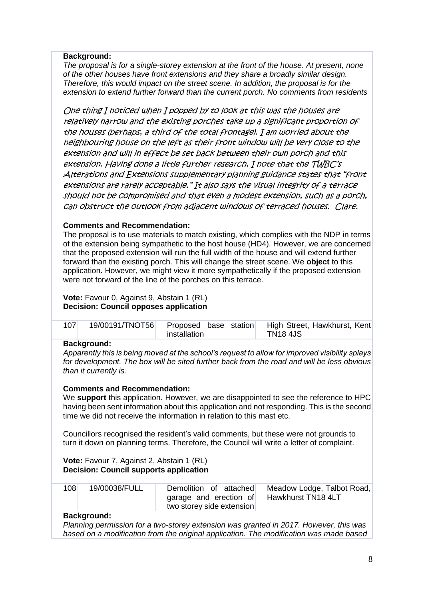#### **Background:**

*The proposal is for a single-storey extension at the front of the house. At present, none of the other houses have front extensions and they share a broadly similar design. Therefore, this would impact on the street scene. In addition, the proposal is for the extension to extend further forward than the current porch. No comments from residents*

One thing I noticed when I popped by to look at this was the houses are relatively narrow and the existing porches take up a significant proportion of the houses (perhaps, a third of the total frontage). I am worried about the neighbouring house on the left as their front window will be very close to the extension and will in effect be set back between their own porch and this extension. Having done a little further research, I note that the TWBC'<sup>s</sup> Alterations and Extensions supplementary planning guidance states that "front extensions are rarely acceptable." It also says the visual integrity of a terrace should not be compromised and that even a modest extension, such as a porch, can obstruct the outlook from adjacent windows of terraced houses. Clare.

#### **Comments and Recommendation:**

The proposal is to use materials to match existing, which complies with the NDP in terms of the extension being sympathetic to the host house (HD4). However, we are concerned that the proposed extension will run the full width of the house and will extend further forward than the existing porch. This will change the street scene. We **object** to this application. However, we might view it more sympathetically if the proposed extension were not forward of the line of the porches on this terrace.

**Vote:** Favour 0, Against 9, Abstain 1 (RL) **Decision: Council opposes application**

| 107 | installation | 19/00191/TNOT56 Proposed base station High Street, Hawkhurst, Kent<br>TN18 4JS |
|-----|--------------|--------------------------------------------------------------------------------|
|     |              |                                                                                |

#### **Background:**

*Apparently this is being moved at the school's request to allow for improved visibility splays for development. The box will be sited further back from the road and will be less obvious than it currently is.*

#### **Comments and Recommendation:**

We **support** this application. However, we are disappointed to see the reference to HPC having been sent information about this application and not responding. This is the second time we did not receive the information in relation to this mast etc.

Councillors recognised the resident's valid comments, but these were not grounds to turn it down on planning terms. Therefore, the Council will write a letter of complaint.

#### **Vote:** Favour 7, Against 2, Abstain 1 (RL) **Decision: Council supports application**

| 19/00038/FULL<br>108 | Demolition of attached<br>garage and erection of<br>two storey side extension | Meadow Lodge, Talbot Road,<br>Hawkhurst TN18 4LT |
|----------------------|-------------------------------------------------------------------------------|--------------------------------------------------|
|----------------------|-------------------------------------------------------------------------------|--------------------------------------------------|

#### **Background:**

*Planning permission for a two-storey extension was granted in 2017. However, this was based on a modification from the original application. The modification was made based*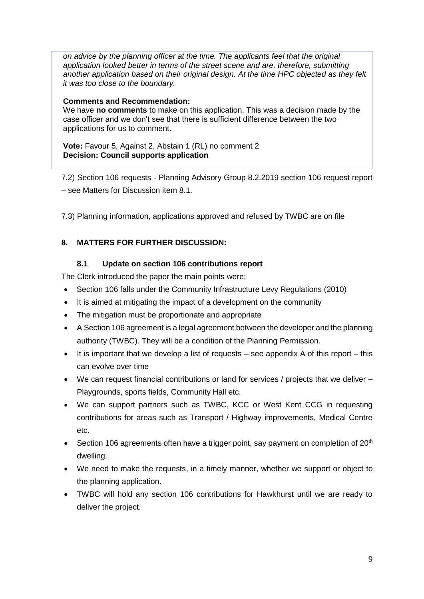*on advice by the planning officer at the time. The applicants feel that the original application looked better in terms of the street scene and are, therefore, submitting another application based on their original design. At the time HPC objected as they felt it was too close to the boundary.*

#### **Comments and Recommendation:**

We have **no comments** to make on this application. This was a decision made by the case officer and we don't see that there is sufficient difference between the two applications for us to comment.

**Vote:** Favour 5, Against 2, Abstain 1 (RL) no comment 2 **Decision: Council supports application**

7.2) Section 106 requests - Planning Advisory Group 8.2.2019 section 106 request report – see Matters for Discussion item 8.1.

7.3) Planning information, applications approved and refused by TWBC are on file

# **8. MATTERS FOR FURTHER DISCUSSION:**

## **8.1 Update on section 106 contributions report**

The Clerk introduced the paper the main points were;

- Section 106 falls under the Community Infrastructure Levy Regulations (2010)
- It is aimed at mitigating the impact of a development on the community
- The mitigation must be proportionate and appropriate
- A Section 106 agreement is a legal agreement between the developer and the planning authority (TWBC). They will be a condition of the Planning Permission.
- $\bullet$  It is important that we develop a list of requests see appendix A of this report this can evolve over time
- We can request financial contributions or land for services / projects that we deliver Playgrounds, sports fields, Community Hall etc.
- We can support partners such as TWBC, KCC or West Kent CCG in requesting contributions for areas such as Transport / Highway improvements, Medical Centre etc.
- Section 106 agreements often have a trigger point, say payment on completion of  $20<sup>th</sup>$ dwelling.
- We need to make the requests, in a timely manner, whether we support or object to the planning application.
- TWBC will hold any section 106 contributions for Hawkhurst until we are ready to deliver the project.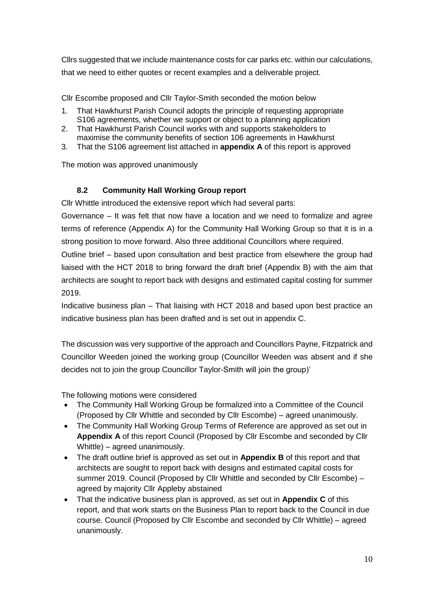Cllrs suggested that we include maintenance costs for car parks etc. within our calculations, that we need to either quotes or recent examples and a deliverable project.

Cllr Escombe proposed and Cllr Taylor-Smith seconded the motion below

- 1. That Hawkhurst Parish Council adopts the principle of requesting appropriate S106 agreements, whether we support or object to a planning application
- 2. That Hawkhurst Parish Council works with and supports stakeholders to maximise the community benefits of section 106 agreements in Hawkhurst
- 3. That the S106 agreement list attached in **appendix A** of this report is approved

The motion was approved unanimously

# **8.2 Community Hall Working Group report**

Cllr Whittle introduced the extensive report which had several parts:

Governance – It was felt that now have a location and we need to formalize and agree terms of reference (Appendix A) for the Community Hall Working Group so that it is in a strong position to move forward. Also three additional Councillors where required.

Outline brief – based upon consultation and best practice from elsewhere the group had liaised with the HCT 2018 to bring forward the draft brief (Appendix B) with the aim that architects are sought to report back with designs and estimated capital costing for summer 2019.

Indicative business plan – That liaising with HCT 2018 and based upon best practice an indicative business plan has been drafted and is set out in appendix C.

The discussion was very supportive of the approach and Councillors Payne, Fitzpatrick and Councillor Weeden joined the working group (Councillor Weeden was absent and if she decides not to join the group Councillor Taylor-Smith will join the group)'

The following motions were considered

- The Community Hall Working Group be formalized into a Committee of the Council (Proposed by Cllr Whittle and seconded by Cllr Escombe) – agreed unanimously.
- The Community Hall Working Group Terms of Reference are approved as set out in **Appendix A** of this report Council (Proposed by Cllr Escombe and seconded by Cllr Whittle) – agreed unanimously.
- The draft outline brief is approved as set out in **Appendix B** of this report and that architects are sought to report back with designs and estimated capital costs for summer 2019. Council (Proposed by Cllr Whittle and seconded by Cllr Escombe) – agreed by majority Cllr Appleby abstained
- That the indicative business plan is approved, as set out in **Appendix C** of this report, and that work starts on the Business Plan to report back to the Council in due course. Council (Proposed by Cllr Escombe and seconded by Cllr Whittle) – agreed unanimously.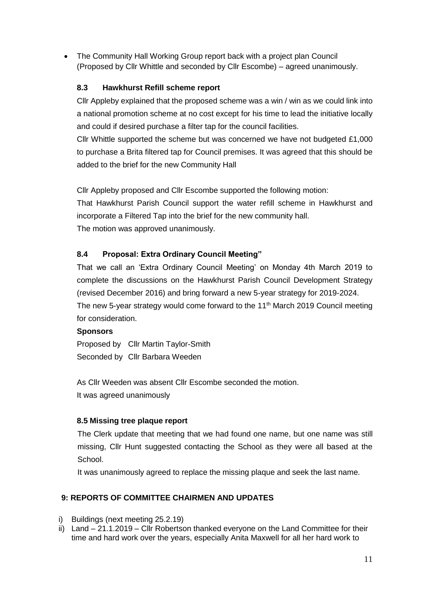The Community Hall Working Group report back with a project plan Council (Proposed by Cllr Whittle and seconded by Cllr Escombe) – agreed unanimously.

## **8.3 Hawkhurst Refill scheme report**

Cllr Appleby explained that the proposed scheme was a win / win as we could link into a national promotion scheme at no cost except for his time to lead the initiative locally and could if desired purchase a filter tap for the council facilities.

Cllr Whittle supported the scheme but was concerned we have not budgeted £1,000 to purchase a Brita filtered tap for Council premises. It was agreed that this should be added to the brief for the new Community Hall

Cllr Appleby proposed and Cllr Escombe supported the following motion: That Hawkhurst Parish Council support the water refill scheme in Hawkhurst and incorporate a Filtered Tap into the brief for the new community hall. The motion was approved unanimously.

# **8.4 Proposal: Extra Ordinary Council Meeting"**

That we call an 'Extra Ordinary Council Meeting' on Monday 4th March 2019 to complete the discussions on the Hawkhurst Parish Council Development Strategy (revised December 2016) and bring forward a new 5-year strategy for 2019-2024. The new 5-year strategy would come forward to the 11<sup>th</sup> March 2019 Council meeting for consideration.

## **Sponsors**

Proposed by Cllr Martin Taylor-Smith Seconded by Cllr Barbara Weeden

As Cllr Weeden was absent Cllr Escombe seconded the motion. It was agreed unanimously

## **8.5 Missing tree plaque report**

The Clerk update that meeting that we had found one name, but one name was still missing, Cllr Hunt suggested contacting the School as they were all based at the School.

It was unanimously agreed to replace the missing plaque and seek the last name.

## **9: REPORTS OF COMMITTEE CHAIRMEN AND UPDATES**

- i) Buildings (next meeting 25.2.19)
- ii) Land 21.1.2019 Cllr Robertson thanked everyone on the Land Committee for their time and hard work over the years, especially Anita Maxwell for all her hard work to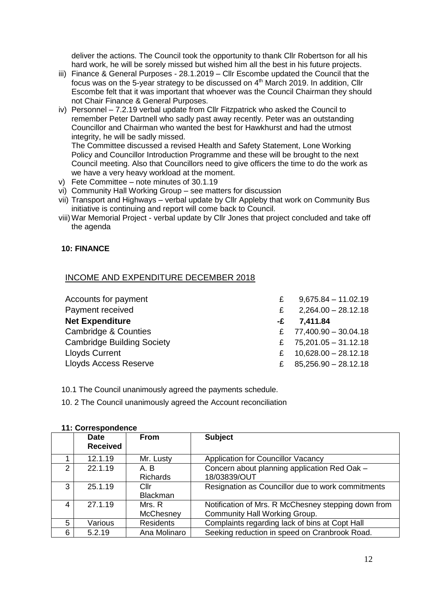deliver the actions. The Council took the opportunity to thank Cllr Robertson for all his hard work, he will be sorely missed but wished him all the best in his future projects.

- iii) Finance & General Purposes 28.1.2019 Cllr Escombe updated the Council that the focus was on the 5-year strategy to be discussed on  $4<sup>th</sup>$  March 2019. In addition, Cllr Escombe felt that it was important that whoever was the Council Chairman they should not Chair Finance & General Purposes.
- iv) Personnel 7.2.19 verbal update from Cllr Fitzpatrick who asked the Council to remember Peter Dartnell who sadly past away recently. Peter was an outstanding Councillor and Chairman who wanted the best for Hawkhurst and had the utmost integrity, he will be sadly missed.

The Committee discussed a revised Health and Safety Statement, Lone Working Policy and Councillor Introduction Programme and these will be brought to the next Council meeting. Also that Councillors need to give officers the time to do the work as we have a very heavy workload at the moment.

- v) Fete Committee note minutes of 30.1.19
- vi) Community Hall Working Group see matters for discussion
- vii) Transport and Highways verbal update by Cllr Appleby that work on Community Bus initiative is continuing and report will come back to Council.
- viii)War Memorial Project verbal update by Cllr Jones that project concluded and take off the agenda

#### **10: FINANCE**

#### INCOME AND EXPENDITURE DECEMBER 2018

| Accounts for payment              | £  | $9,675.84 - 11.02.19$  |
|-----------------------------------|----|------------------------|
| Payment received                  | £  | $2,264.00 - 28.12.18$  |
| <b>Net Expenditure</b>            | -£ | 7,411.84               |
| <b>Cambridge &amp; Counties</b>   | £  | 77,400.90 - 30.04.18   |
| <b>Cambridge Building Society</b> | £  | $75,201.05 - 31.12.18$ |
| <b>Lloyds Current</b>             | £  | $10,628.00 - 28.12.18$ |
| <b>Lloyds Access Reserve</b>      | £  | $85,256.90 - 28.12.18$ |

10.1 The Council unanimously agreed the payments schedule.

10. 2 The Council unanimously agreed the Account reconciliation

|               | <b>III. OUIIGSPUINGING</b>     |                         |                                                                                      |  |  |  |
|---------------|--------------------------------|-------------------------|--------------------------------------------------------------------------------------|--|--|--|
|               | <b>Date</b><br><b>Received</b> | <b>From</b>             | <b>Subject</b>                                                                       |  |  |  |
|               | 12.1.19                        | Mr. Lusty               | <b>Application for Councillor Vacancy</b>                                            |  |  |  |
| $\mathcal{P}$ | 22.1.19                        | A.B<br><b>Richards</b>  | Concern about planning application Red Oak -<br>18/03839/OUT                         |  |  |  |
| 3             | 25.1.19                        | Cllr<br><b>Blackman</b> | Resignation as Councillor due to work commitments                                    |  |  |  |
| 4             | 27.1.19                        | Mrs. R<br>McChesney     | Notification of Mrs. R McChesney stepping down from<br>Community Hall Working Group. |  |  |  |
| 5             | Various                        | <b>Residents</b>        | Complaints regarding lack of bins at Copt Hall                                       |  |  |  |
| 6             | 5.2.19                         | Ana Molinaro            | Seeking reduction in speed on Cranbrook Road.                                        |  |  |  |

#### **11: Correspondence**